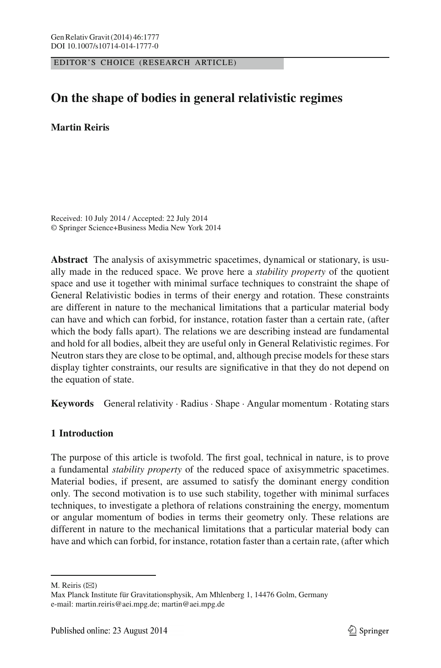EDITOR'S CHOICE (RESEARCH ARTICLE)

# **On the shape of bodies in general relativistic regimes**

## **Martin Reiris**

Received: 10 July 2014 / Accepted: 22 July 2014 © Springer Science+Business Media New York 2014

**Abstract** The analysis of axisymmetric spacetimes, dynamical or stationary, is usually made in the reduced space. We prove here a *stability property* of the quotient space and use it together with minimal surface techniques to constraint the shape of General Relativistic bodies in terms of their energy and rotation. These constraints are different in nature to the mechanical limitations that a particular material body can have and which can forbid, for instance, rotation faster than a certain rate, (after which the body falls apart). The relations we are describing instead are fundamental and hold for all bodies, albeit they are useful only in General Relativistic regimes. For Neutron stars they are close to be optimal, and, although precise models for these stars display tighter constraints, our results are significative in that they do not depend on the equation of state.

**Keywords** General relativity · Radius · Shape · Angular momentum · Rotating stars

# **1 Introduction**

The purpose of this article is twofold. The first goal, technical in nature, is to prove a fundamental *stability property* of the reduced space of axisymmetric spacetimes. Material bodies, if present, are assumed to satisfy the dominant energy condition only. The second motivation is to use such stability, together with minimal surfaces techniques, to investigate a plethora of relations constraining the energy, momentum or angular momentum of bodies in terms their geometry only. These relations are different in nature to the mechanical limitations that a particular material body can have and which can forbid, for instance, rotation faster than a certain rate, (after which

M. Reiris  $(\boxtimes)$ 

Max Planck Institute für Gravitationsphysik, Am Mhlenberg 1, 14476 Golm, Germany e-mail: martin.reiris@aei.mpg.de; martin@aei.mpg.de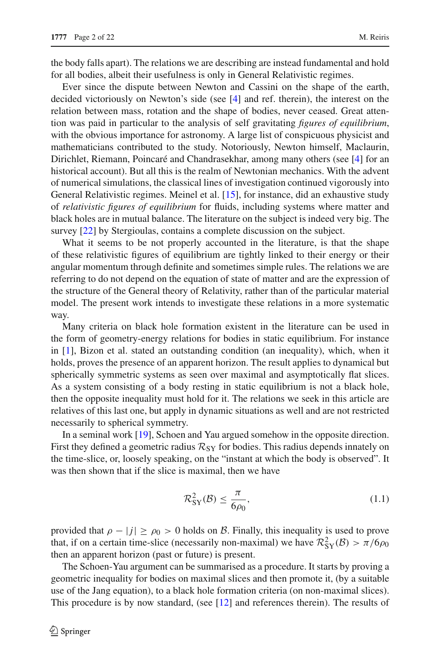the body falls apart). The relations we are describing are instead fundamental and hold for all bodies, albeit their usefulness is only in General Relativistic regimes.

Ever since the dispute between Newton and Cassini on the shape of the earth, decided victoriously on Newton's side (see [\[4](#page-21-1)] and ref. therein), the interest on the relation between mass, rotation and the shape of bodies, never ceased. Great attention was paid in particular to the analysis of self gravitating *figures of equilibrium*, with the obvious importance for astronomy. A large list of conspicuous physicist and mathematicians contributed to the study. Notoriously, Newton himself, Maclaurin, Dirichlet, Riemann, Poincaré and Chandrasekhar, among many others (see [\[4\]](#page-21-1) for an historical account). But all this is the realm of Newtonian mechanics. With the advent of numerical simulations, the classical lines of investigation continued vigorously into General Relativistic regimes. Meinel et al. [\[15\]](#page-21-2), for instance, did an exhaustive study of *relativistic figures of equilibrium* for fluids, including systems where matter and black holes are in mutual balance. The literature on the subject is indeed very big. The survey [\[22\]](#page-21-3) by Stergioulas, contains a complete discussion on the subject.

What it seems to be not properly accounted in the literature, is that the shape of these relativistic figures of equilibrium are tightly linked to their energy or their angular momentum through definite and sometimes simple rules. The relations we are referring to do not depend on the equation of state of matter and are the expression of the structure of the General theory of Relativity, rather than of the particular material model. The present work intends to investigate these relations in a more systematic way.

Many criteria on black hole formation existent in the literature can be used in the form of geometry-energy relations for bodies in static equilibrium. For instance in [\[1](#page-21-4)], Bizon et al. stated an outstanding condition (an inequality), which, when it holds, proves the presence of an apparent horizon. The result applies to dynamical but spherically symmetric systems as seen over maximal and asymptotically flat slices. As a system consisting of a body resting in static equilibrium is not a black hole, then the opposite inequality must hold for it. The relations we seek in this article are relatives of this last one, but apply in dynamic situations as well and are not restricted necessarily to spherical symmetry.

In a seminal work [\[19\]](#page-21-5), Schoen and Yau argued somehow in the opposite direction. First they defined a geometric radius  $\mathcal{R}_{SY}$  for bodies. This radius depends innately on the time-slice, or, loosely speaking, on the "instant at which the body is observed". It was then shown that if the slice is maximal, then we have

$$
\mathcal{R}_{\text{SY}}^2(\mathcal{B}) \le \frac{\pi}{6\rho_0},\tag{1.1}
$$

provided that  $\rho - |j| \ge \rho_0 > 0$  holds on B. Finally, this inequality is used to prove that, if on a certain time-slice (necessarily non-maximal) we have  $\mathcal{R}_{SY}^2(\mathcal{B}) > \pi/6\rho_0$ then an apparent horizon (past or future) is present.

The Schoen-Yau argument can be summarised as a procedure. It starts by proving a geometric inequality for bodies on maximal slices and then promote it, (by a suitable use of the Jang equation), to a black hole formation criteria (on non-maximal slices). This procedure is by now standard, (see [\[12](#page-21-6)] and references therein). The results of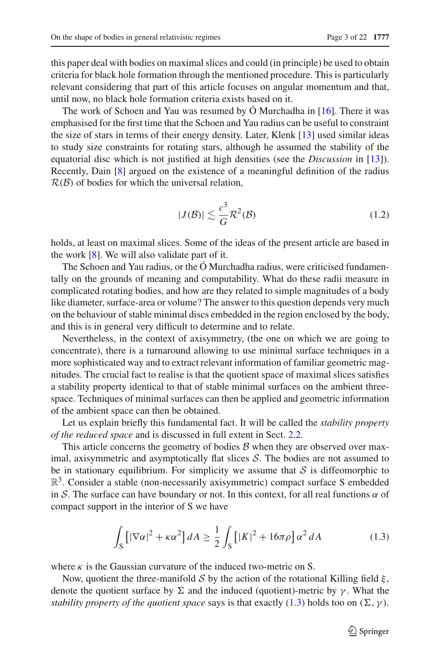this paper deal with bodies on maximal slices and could (in principle) be used to obtain criteria for black hole formation through the mentioned procedure. This is particularly relevant considering that part of this article focuses on angular momentum and that, until now, no black hole formation criteria exists based on it.

The work of Schoen and Yau was resumed by  $\acute{O}$  Murchadha in [\[16](#page-21-7)]. There it was emphasised for the first time that the Schoen and Yau radius can be useful to constraint the size of stars in terms of their energy density. Later, Klenk [\[13\]](#page-21-8) used similar ideas to study size constraints for rotating stars, although he assumed the stability of the equatorial disc which is not justified at high densities (see the *Discussion* in [\[13\]](#page-21-8)). Recently, Dain [\[8](#page-21-9)] argued on the existence of a meaningful definition of the radius  $\mathcal{R}(\mathcal{B})$  of bodies for which the universal relation,

$$
|J(\mathcal{B})| \lesssim \frac{c^3}{G} \mathcal{R}^2(\mathcal{B})
$$
 (1.2)

<span id="page-2-1"></span>holds, at least on maximal slices. Some of the ideas of the present article are based in the work [\[8\]](#page-21-9). We will also validate part of it.

The Schoen and Yau radius, or the Ó Murchadha radius, were criticised fundamentally on the grounds of meaning and computability. What do these radii measure in complicated rotating bodies, and how are they related to simple magnitudes of a body like diameter, surface-area or volume? The answer to this question depends very much on the behaviour of stable minimal discs embedded in the region enclosed by the body, and this is in general very difficult to determine and to relate.

Nevertheless, in the context of axisymmetry, (the one on which we are going to concentrate), there is a turnaround allowing to use minimal surface techniques in a more sophisticated way and to extract relevant information of familiar geometric magnitudes. The crucial fact to realise is that the quotient space of maximal slices satisfies a stability property identical to that of stable minimal surfaces on the ambient threespace. Techniques of minimal surfaces can then be applied and geometric information of the ambient space can then be obtained.

Let us explain briefly this fundamental fact. It will be called the *stability property of the reduced space* and is discussed in full extent in Sect. [2.2.](#page-12-0)

This article concerns the geometry of bodies  $\beta$  when they are observed over maximal, axisymmetric and asymptotically flat slices  $S$ . The bodies are not assumed to be in stationary equilibrium. For simplicity we assume that  $S$  is diffeomorphic to  $\mathbb{R}^3$ . Consider a stable (non-necessarily axisymmetric) compact surface S embedded in S. The surface can have boundary or not. In this context, for all real functions  $\alpha$  of compact support in the interior of S we have

$$
\int_{\mathcal{S}} \left[ |\nabla \alpha|^2 + \kappa \alpha^2 \right] dA \ge \frac{1}{2} \int_{\mathcal{S}} \left[ |K|^2 + 16\pi \rho \right] \alpha^2 dA \tag{1.3}
$$

<span id="page-2-0"></span>where  $\kappa$  is the Gaussian curvature of the induced two-metric on S.

Now, quotient the three-manifold S by the action of the rotational Killing field  $\xi$ , denote the quotient surface by  $\Sigma$  and the induced (quotient)-metric by  $\gamma$ . What the *stability property of the quotient space* says is that exactly [\(1.3\)](#page-2-0) holds too on  $(\Sigma, \gamma)$ .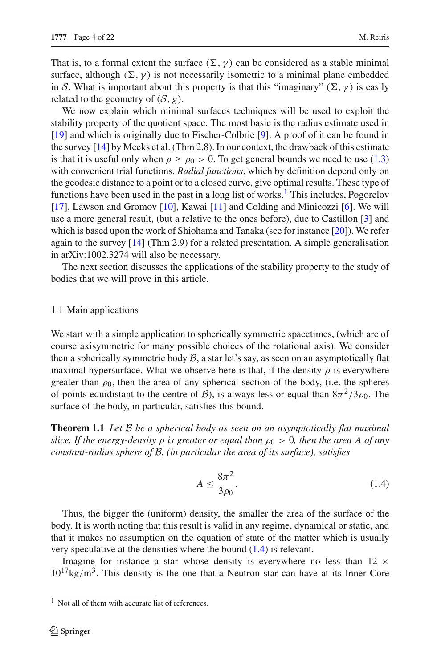That is, to a formal extent the surface  $(\Sigma, \gamma)$  can be considered as a stable minimal surface, although  $(\Sigma, \gamma)$  is not necessarily isometric to a minimal plane embedded in S. What is important about this property is that this "imaginary" ( $\Sigma$ ,  $\gamma$ ) is easily related to the geometry of  $(S, g)$ .

We now explain which minimal surfaces techniques will be used to exploit the stability property of the quotient space. The most basic is the radius estimate used in [\[19](#page-21-5)] and which is originally due to Fischer-Colbrie [\[9\]](#page-21-10). A proof of it can be found in the survey [\[14](#page-21-11)] by Meeks et al. (Thm 2.8). In our context, the drawback of this estimate is that it is useful only when  $\rho \ge \rho_0 > 0$ . To get general bounds we need to use [\(1.3\)](#page-2-0) with convenient trial functions. *Radial functions*, which by definition depend only on the geodesic distance to a point or to a closed curve, give optimal results. These type of functions have been used in the past in a long list of works.<sup>1</sup> This includes, Pogorelov [\[17](#page-21-12)], Lawson and Gromov [\[10](#page-21-13)], Kawai [\[11](#page-21-14)] and Colding and Minicozzi [\[6](#page-21-15)]. We will use a more general result, (but a relative to the ones before), due to Castillon [\[3\]](#page-21-16) and which is based upon the work of Shiohama and Tanaka (see for instance [\[20\]](#page-21-17)). We refer again to the survey  $[14]$  $[14]$  (Thm 2.9) for a related presentation. A simple generalisation in arXiv:1002.3274 will also be necessary.

The next section discusses the applications of the stability property to the study of bodies that we will prove in this article.

### <span id="page-3-3"></span>1.1 Main applications

We start with a simple application to spherically symmetric spacetimes, (which are of course axisymmetric for many possible choices of the rotational axis). We consider then a spherically symmetric body  $\beta$ , a star let's say, as seen on an asymptotically flat maximal hypersurface. What we observe here is that, if the density  $\rho$  is everywhere greater than  $\rho_0$ , then the area of any spherical section of the body, (i.e. the spheres of points equidistant to the centre of  $\mathcal{B}$ ), is always less or equal than  $8\pi^2/3\rho_0$ . The surface of the body, in particular, satisfies this bound.

<span id="page-3-2"></span>**Theorem 1.1** *Let* B *be a spherical body as seen on an asymptotically flat maximal slice. If the energy-density*  $\rho$  *is greater or equal than*  $\rho_0 > 0$ *, then the area A of any constant-radius sphere of* B*, (in particular the area of its surface), satisfies*

<span id="page-3-1"></span>
$$
A \le \frac{8\pi^2}{3\rho_0}.\tag{1.4}
$$

Thus, the bigger the (uniform) density, the smaller the area of the surface of the body. It is worth noting that this result is valid in any regime, dynamical or static, and that it makes no assumption on the equation of state of the matter which is usually very speculative at the densities where the bound [\(1.4\)](#page-3-1) is relevant.

Imagine for instance a star whose density is everywhere no less than  $12 \times$  $10^{17}$ kg/m<sup>3</sup>. This density is the one that a Neutron star can have at its Inner Core

<span id="page-3-0"></span><sup>&</sup>lt;sup>1</sup> Not all of them with accurate list of references.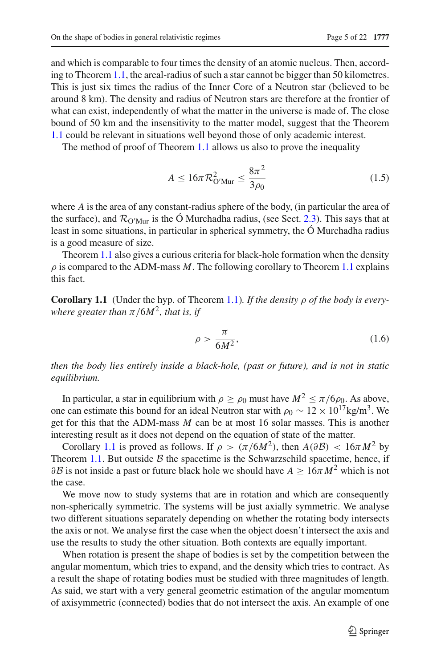and which is comparable to four times the density of an atomic nucleus. Then, according to Theorem [1.1,](#page-3-2) the areal-radius of such a star cannot be bigger than 50 kilometres. This is just six times the radius of the Inner Core of a Neutron star (believed to be around 8 km). The density and radius of Neutron stars are therefore at the frontier of what can exist, independently of what the matter in the universe is made of. The close bound of 50 km and the insensitivity to the matter model, suggest that the Theorem [1.1](#page-3-2) could be relevant in situations well beyond those of only academic interest.

The method of proof of Theorem [1.1](#page-3-2) allows us also to prove the inequality

$$
A \le 16\pi \mathcal{R}_{O'Mur}^2 \le \frac{8\pi^2}{3\rho_0} \tag{1.5}
$$

where *A* is the area of any constant-radius sphere of the body, (in particular the area of the surface), and  $\mathcal{R}_{\text{O'Mur}}$  is the Ó Murchadha radius, (see Sect. [2.3\)](#page-14-0). This says that at least in some situations, in particular in spherical symmetry, the Ó Murchadha radius is a good measure of size.

<span id="page-4-0"></span>Theorem [1.1](#page-3-2) also gives a curious criteria for black-hole formation when the density  $\rho$  is compared to the ADM-mass  $M$ . The following corollary to Theorem [1.1](#page-3-2) explains this fact.

**Corollary 1.1** (Under the hyp. of Theorem [1.1\)](#page-3-2)*. If the density* ρ *of the body is everywhere greater than*  $\pi$  /6*M*<sup>2</sup>*, that is, if* 

$$
\rho > \frac{\pi}{6M^2},\tag{1.6}
$$

*then the body lies entirely inside a black-hole, (past or future), and is not in static equilibrium.*

In particular, a star in equilibrium with  $\rho \ge \rho_0$  must have  $M^2 \le \pi/6\rho_0$ . As above, one can estimate this bound for an ideal Neutron star with  $\rho_0 \sim 12 \times 10^{17}$  kg/m<sup>3</sup>. We get for this that the ADM-mass *M* can be at most 16 solar masses. This is another interesting result as it does not depend on the equation of state of the matter.

Corollary [1.1](#page-4-0) is proved as follows. If  $\rho > (\pi/6M^2)$ , then  $A(\partial \mathcal{B}) < 16\pi M^2$  by Theorem [1.1.](#page-3-2) But outside  $\beta$  the spacetime is the Schwarzschild spacetime, hence, if  $\partial \mathcal{B}$  is not inside a past or future black hole we should have  $A \geq 16\pi M^2$  which is not the case.

We move now to study systems that are in rotation and which are consequently non-spherically symmetric. The systems will be just axially symmetric. We analyse two different situations separately depending on whether the rotating body intersects the axis or not. We analyse first the case when the object doesn't intersect the axis and use the results to study the other situation. Both contexts are equally important.

When rotation is present the shape of bodies is set by the competition between the angular momentum, which tries to expand, and the density which tries to contract. As a result the shape of rotating bodies must be studied with three magnitudes of length. As said, we start with a very general geometric estimation of the angular momentum of axisymmetric (connected) bodies that do not intersect the axis. An example of one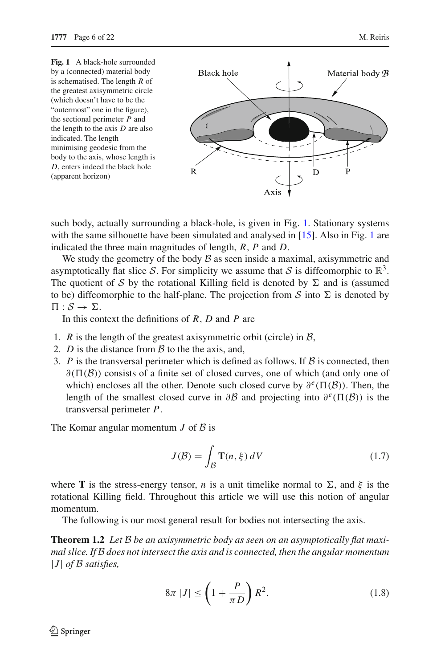<span id="page-5-0"></span>**Fig. 1** A black-hole surrounded by a (connected) material body is schematised. The length *R* of the greatest axisymmetric circle (which doesn't have to be the "outermost" one in the figure), the sectional perimeter *P* and the length to the axis *D* are also indicated. The length minimising geodesic from the body to the axis, whose length is *D*, enters indeed the black hole (apparent horizon)



such body, actually surrounding a black-hole, is given in Fig. [1.](#page-5-0) Stationary systems with the same silhouette have been simulated and analysed in [\[15\]](#page-21-2). Also in Fig. [1](#page-5-0) are indicated the three main magnitudes of length, *R*, *P* and *D*.

We study the geometry of the body  $\beta$  as seen inside a maximal, axisymmetric and asymptotically flat slice S. For simplicity we assume that S is diffeomorphic to  $\mathbb{R}^3$ . The quotient of S by the rotational Killing field is denoted by  $\Sigma$  and is (assumed to be) diffeomorphic to the half-plane. The projection from  $S$  into  $\Sigma$  is denoted by  $\Pi : \mathcal{S} \rightarrow \Sigma.$ 

In this context the definitions of *R*, *D* and *P* are

- 1. *R* is the length of the greatest axisymmetric orbit (circle) in  $\beta$ ,
- 2. *D* is the distance from  $\beta$  to the the axis, and,
- 3. *P* is the transversal perimeter which is defined as follows. If  $\beta$  is connected, then  $\partial(\Pi(\mathcal{B}))$  consists of a finite set of closed curves, one of which (and only one of which) encloses all the other. Denote such closed curve by  $\partial^e(\Pi(\mathcal{B}))$ . Then, the length of the smallest closed curve in  $\partial \mathcal{B}$  and projecting into  $\partial^e(\Pi(\mathcal{B}))$  is the transversal perimeter *P*.

The Komar angular momentum *J* of *B* is

$$
J(\mathcal{B}) = \int_{\mathcal{B}} \mathbf{T}(n, \xi) \, dV \tag{1.7}
$$

where **T** is the stress-energy tensor, *n* is a unit timelike normal to  $\Sigma$ , and  $\xi$  is the rotational Killing field. Throughout this article we will use this notion of angular momentum.

The following is our most general result for bodies not intersecting the axis.

<span id="page-5-2"></span><span id="page-5-1"></span>**Theorem 1.2** Let B be an axisymmetric body as seen on an asymptotically flat maxi*mal slice. If* B *does not intersect the axis and is connected, then the angular momentum* |*J* | *of* B *satisfies,*

$$
8\pi |J| \le \left(1 + \frac{P}{\pi D}\right) R^2. \tag{1.8}
$$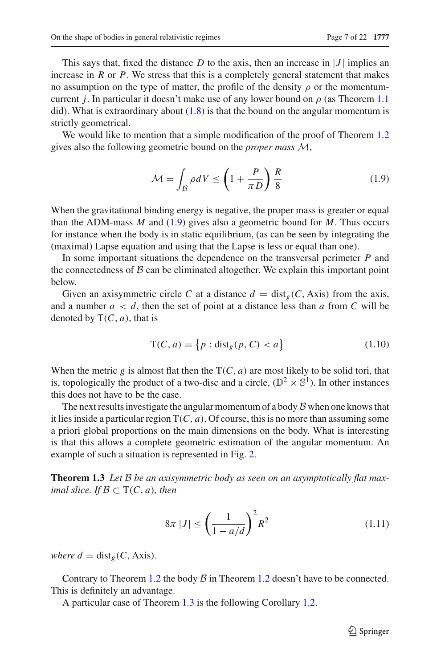This says that, fixed the distance  $D$  to the axis, then an increase in  $|J|$  implies an increase in *R* or *P*. We stress that this is a completely general statement that makes no assumption on the type of matter, the profile of the density  $\rho$  or the momentumcurrent *j*. In particular it doesn't make use of any lower bound on  $\rho$  (as Theorem [1.1](#page-3-2)) did). What is extraordinary about  $(1.8)$  is that the bound on the angular momentum is strictly geometrical.

We would like to mention that a simple modification of the proof of Theorem [1.2](#page-5-2) gives also the following geometric bound on the *proper mass* M,

$$
\mathcal{M} = \int_{\mathcal{B}} \rho dV \le \left(1 + \frac{P}{\pi D}\right) \frac{R}{8} \tag{1.9}
$$

<span id="page-6-0"></span>When the gravitational binding energy is negative, the proper mass is greater or equal than the ADM-mass *M* and [\(1.9\)](#page-6-0) gives also a geometric bound for *M*. Thus occurs for instance when the body is in static equilibrium, (as can be seen by integrating the (maximal) Lapse equation and using that the Lapse is less or equal than one).

In some important situations the dependence on the transversal perimeter *P* and the connectedness of  $B$  can be eliminated altogether. We explain this important point below.

Given an axisymmetric circle C at a distance  $d = \text{dist}_g(C, \text{Axis})$  from the axis, and a number  $a < d$ , then the set of point at a distance less than a from C will be denoted by  $T(C, a)$ , that is

$$
T(C, a) = \{p : \text{dist}_g(p, C) < a\} \tag{1.10}
$$

When the metric *g* is almost flat then the  $T(C, a)$  are most likely to be solid tori, that is, topologically the product of a two-disc and a circle,  $(\mathbb{D}^2 \times \mathbb{S}^1)$ . In other instances this does not have to be the case.

The next results investigate the angular momentum of a body  $\beta$  when one knows that it lies inside a particular region  $T(C, a)$ . Of course, this is no more than assuming some a priori global proportions on the main dimensions on the body. What is interesting is that this allows a complete geometric estimation of the angular momentum. An example of such a situation is represented in Fig. [2.](#page-7-0)

<span id="page-6-2"></span>**Theorem 1.3** Let B be an axisymmetric body as seen on an asymptotically flat max*imal slice. If*  $B \subset T(C, a)$ *, then* 

$$
8\pi |J| \le \left(\frac{1}{1 - a/d}\right)^2 R^2 \tag{1.11}
$$

*where*  $d = \text{dist}_g(C, \text{Axis}).$ 

<span id="page-6-1"></span>Contrary to Theorem [1.2](#page-6-1) the body  $\beta$  in Theorem 1.2 doesn't have to be connected. This is definitely an advantage.

A particular case of Theorem [1.3](#page-6-2) is the following Corollary [1.2.](#page-6-1)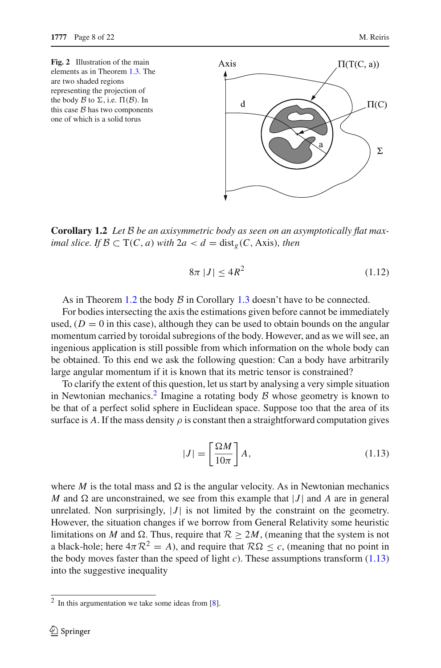<span id="page-7-0"></span>**Fig. 2** Illustration of the main elements as in Theorem [1.3.](#page-6-2) The are two shaded regions representing the projection of the body  $\beta$  to  $\Sigma$ , i.e.  $\Pi(\beta)$ . In this case  $B$  has two components one of which is a solid torus



**Corollary 1.2** *Let* B *be an axisymmetric body as seen on an asymptotically flat maximal slice. If*  $B \subset T(C, a)$  *with*  $2a < d = \text{dist}_g(C, \text{Axis})$ *, then* 

$$
8\pi |J| \le 4R^2 \tag{1.12}
$$

As in Theorem [1.2](#page-6-1) the body  $\beta$  in Corollary [1.3](#page-6-2) doesn't have to be connected.

For bodies intersecting the axis the estimations given before cannot be immediately used,  $(D = 0$  in this case), although they can be used to obtain bounds on the angular momentum carried by toroidal subregions of the body. However, and as we will see, an ingenious application is still possible from which information on the whole body can be obtained. To this end we ask the following question: Can a body have arbitrarily large angular momentum if it is known that its metric tensor is constrained?

To clarify the extent of this question, let us start by analysing a very simple situation in Newtonian mechanics.<sup>[2](#page-7-1)</sup> Imagine a rotating body  $\beta$  whose geometry is known to be that of a perfect solid sphere in Euclidean space. Suppose too that the area of its surface is A. If the mass density  $\rho$  is constant then a straightforward computation gives

$$
|J| = \left[\frac{\Omega M}{10\pi}\right] A,\tag{1.13}
$$

<span id="page-7-2"></span>where *M* is the total mass and  $\Omega$  is the angular velocity. As in Newtonian mechanics  $M$  and  $\Omega$  are unconstrained, we see from this example that  $|J|$  and  $A$  are in general unrelated. Non surprisingly,  $|J|$  is not limited by the constraint on the geometry. However, the situation changes if we borrow from General Relativity some heuristic limitations on *M* and  $\Omega$ . Thus, require that  $\mathcal{R} > 2M$ , (meaning that the system is not a black-hole; here  $4\pi R^2 = A$ ), and require that  $R\Omega \le c$ , (meaning that no point in the body moves faster than the speed of light  $c$ ). These assumptions transform  $(1.13)$ into the suggestive inequality

<span id="page-7-1"></span> $2$  In this argumentation we take some ideas from [\[8\]](#page-21-9).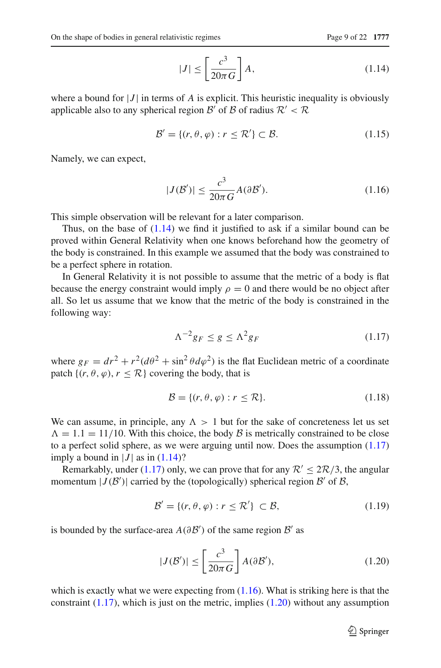$$
|J| \le \left[\frac{c^3}{20\pi G}\right] A,\tag{1.14}
$$

<span id="page-8-0"></span>where a bound for  $|J|$  in terms of A is explicit. This heuristic inequality is obviously applicable also to any spherical region  $\mathcal{B}'$  of  $\mathcal{B}$  of radius  $\mathcal{R}' < \mathcal{R}$ 

$$
\mathcal{B}' = \{ (r, \theta, \varphi) : r \le \mathcal{R}' \} \subset \mathcal{B}.
$$
 (1.15)

Namely, we can expect,

$$
|J(\mathcal{B}')| \le \frac{c^3}{20\pi G} A(\partial \mathcal{B}'). \tag{1.16}
$$

<span id="page-8-2"></span>This simple observation will be relevant for a later comparison.

Thus, on the base of  $(1.14)$  we find it justified to ask if a similar bound can be proved within General Relativity when one knows beforehand how the geometry of the body is constrained. In this example we assumed that the body was constrained to be a perfect sphere in rotation.

In General Relativity it is not possible to assume that the metric of a body is flat because the energy constraint would imply  $\rho = 0$  and there would be no object after all. So let us assume that we know that the metric of the body is constrained in the following way:

$$
\Lambda^{-2}g_F \le g \le \Lambda^2 g_F \tag{1.17}
$$

<span id="page-8-1"></span>where  $g_F = dr^2 + r^2(d\theta^2 + \sin^2 \theta d\varphi^2)$  is the flat Euclidean metric of a coordinate patch  $\{(r, \theta, \varphi), r \leq \mathcal{R}\}$  covering the body, that is

$$
\mathcal{B} = \{ (r, \theta, \varphi) : r \le \mathcal{R} \}. \tag{1.18}
$$

We can assume, in principle, any  $\Lambda > 1$  but for the sake of concreteness let us set  $\Lambda = 1.1 = 11/10$ . With this choice, the body  $\beta$  is metrically constrained to be close to a perfect solid sphere, as we were arguing until now. Does the assumption [\(1.17\)](#page-8-1) imply a bound in  $|J|$  as in  $(1.14)$ ?

Remarkably, under [\(1.17\)](#page-8-1) only, we can prove that for any  $\mathcal{R}' \leq 2\mathcal{R}/3$ , the angular momentum  $|J(\mathcal{B}')|$  carried by the (topologically) spherical region  $\mathcal{B}'$  of  $\mathcal{B}$ ,

$$
\mathcal{B}' = \{ (r, \theta, \varphi) : r \le \mathcal{R}' \} \subset \mathcal{B},\tag{1.19}
$$

is bounded by the surface-area  $A(\partial B')$  of the same region  $B'$  as

$$
|J(\mathcal{B}')| \le \left[\frac{c^3}{20\pi G}\right] A(\partial \mathcal{B}'),\tag{1.20}
$$

<span id="page-8-3"></span>which is exactly what we were expecting from  $(1.16)$ . What is striking here is that the constraint  $(1.17)$ , which is just on the metric, implies  $(1.20)$  without any assumption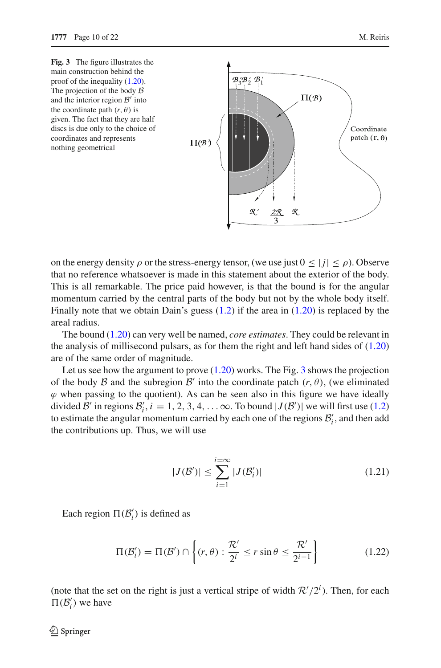<span id="page-9-0"></span>

on the energy density  $\rho$  or the stress-energy tensor, (we use just  $0 \leq |j| \leq \rho$ ). Observe that no reference whatsoever is made in this statement about the exterior of the body. This is all remarkable. The price paid however, is that the bound is for the angular momentum carried by the central parts of the body but not by the whole body itself. Finally note that we obtain Dain's guess [\(1.2\)](#page-2-1) if the area in [\(1.20\)](#page-8-3) is replaced by the areal radius.

The bound [\(1.20\)](#page-8-3) can very well be named, *core estimates*. They could be relevant in the analysis of millisecond pulsars, as for them the right and left hand sides of [\(1.20\)](#page-8-3) are of the same order of magnitude.

Let us see how the argument to prove  $(1.20)$  works. The Fig. [3](#page-9-0) shows the projection of the body  $\beta$  and the subregion  $\beta'$  into the coordinate patch  $(r, \theta)$ , (we eliminated  $\varphi$  when passing to the quotient). As can be seen also in this figure we have ideally divided B' in regions  $B'_i$ ,  $i = 1, 2, 3, 4, \ldots$   $\infty$ . To bound  $|J(B')|$  we will first use [\(1.2\)](#page-5-2) to estimate the angular momentum carried by each one of the regions  $B'_i$ , and then add the contributions up. Thus, we will use

$$
|J(\mathcal{B}')| \le \sum_{i=1}^{i=\infty} |J(\mathcal{B}'_i)| \tag{1.21}
$$

<span id="page-9-1"></span>Each region  $\Pi(\mathcal{B}'_i)$  is defined as

$$
\Pi(\mathcal{B}'_i) = \Pi(\mathcal{B}') \cap \left\{ (r, \theta) : \frac{\mathcal{R}'}{2^i} \le r \sin \theta \le \frac{\mathcal{R}'}{2^{i-1}} \right\} \tag{1.22}
$$

(note that the set on the right is just a vertical stripe of width  $\mathcal{R}'/2^i$ ). Then, for each  $\Pi(\mathcal{B}'_i)$  we have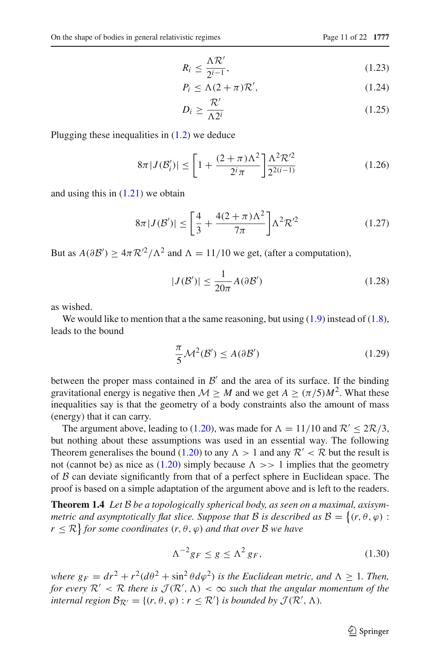$$
R_i \le \frac{\Lambda \mathcal{R}'}{2^{i-1}},\tag{1.23}
$$

$$
P_i \le \Lambda (2 + \pi) \mathcal{R}',\tag{1.24}
$$

$$
D_i \ge \frac{\mathcal{R}'}{\Lambda 2^i} \tag{1.25}
$$

Plugging these inequalities in [\(1.2\)](#page-5-2) we deduce

$$
8\pi |J(\mathcal{B}'_i)| \le \left[1 + \frac{(2+\pi)\Lambda^2}{2^i \pi}\right] \frac{\Lambda^2 \mathcal{R}'^2}{2^{2(i-1)}}\tag{1.26}
$$

and using this in [\(1.21\)](#page-9-1) we obtain

$$
8\pi|J(\mathcal{B}')| \le \left[\frac{4}{3} + \frac{4(2+\pi)\Lambda^2}{7\pi}\right]\Lambda^2 \mathcal{R}'^2\tag{1.27}
$$

But as  $A(\partial B') \ge 4\pi R'^2/\Lambda^2$  and  $\Lambda = 11/10$  we get, (after a computation),

$$
|J(\mathcal{B}')| \le \frac{1}{20\pi} A(\partial \mathcal{B}')
$$
 (1.28)

as wished.

We would like to mention that a the same reasoning, but using  $(1.9)$  instead of  $(1.8)$ , leads to the bound

$$
\frac{\pi}{5} \mathcal{M}^2(\mathcal{B}') \le A(\partial \mathcal{B}')
$$
 (1.29)

between the proper mass contained in  $\mathcal{B}'$  and the area of its surface. If the binding gravitational energy is negative then  $M \geq M$  and we get  $A \geq (\pi/5)M^2$ . What these inequalities say is that the geometry of a body constraints also the amount of mass (energy) that it can carry.

The argument above, leading to [\(1.20\)](#page-8-3), was made for  $\Lambda = 11/10$  and  $\mathcal{R}' \leq 2\mathcal{R}/3$ , but nothing about these assumptions was used in an essential way. The following Theorem generalises the bound [\(1.20\)](#page-8-3) to any  $\Lambda > 1$  and any  $\mathcal{R}' < \mathcal{R}$  but the result is not (cannot be) as nice as [\(1.20\)](#page-8-3) simply because  $\Lambda \gg 1$  implies that the geometry of  $\beta$  can deviate significantly from that of a perfect sphere in Euclidean space. The proof is based on a simple adaptation of the argument above and is left to the readers.

**Theorem 1.4** *Let* B *be a topologically spherical body, as seen on a maximal, axisymmetric and asymptotically flat slice. Suppose that*  $B$  *is described as*  $B = \{(r, \theta, \varphi) :$  $r \leq \mathcal{R}$ } *for some coordinates*  $(r, \theta, \varphi)$  *and that over*  $\mathcal{B}$  *we have* 

$$
\Lambda^{-2}g_F \le g \le \Lambda^2 g_F,\tag{1.30}
$$

*where*  $g_F = dr^2 + r^2(d\theta^2 + \sin^2 \theta d\varphi^2)$  *is the Euclidean metric, and*  $\Lambda > 1$ *. Then, for every*  $\mathcal{R}' < \mathcal{R}$  *there is*  $\mathcal{J}(\mathcal{R}', \Lambda) < \infty$  *such that the angular momentum of the internal region*  $\mathcal{B}_{\mathcal{R}'} = \{(r, \theta, \varphi) : r \leq \mathcal{R}'\}$  *is bounded by*  $\mathcal{J}(\mathcal{R}', \Lambda)$ *.*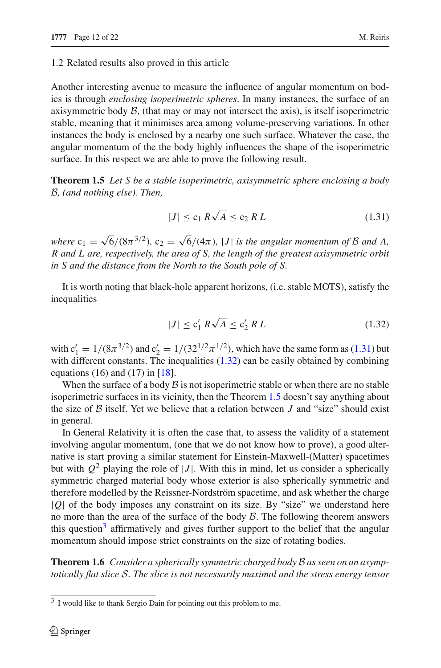#### 1.2 Related results also proved in this article

Another interesting avenue to measure the influence of angular momentum on bodies is through *enclosing isoperimetric spheres*. In many instances, the surface of an axisymmetric body  $\beta$ , (that may or may not intersect the axis), is itself isoperimetric stable, meaning that it minimises area among volume-preserving variations. In other instances the body is enclosed by a nearby one such surface. Whatever the case, the angular momentum of the the body highly influences the shape of the isoperimetric surface. In this respect we are able to prove the following result.

<span id="page-11-2"></span>**Theorem 1.5** *Let S be a stable isoperimetric, axisymmetric sphere enclosing a body* B*, (and nothing else). Then,*

$$
|J| \le c_1 R\sqrt{A} \le c_2 R L \tag{1.31}
$$

<span id="page-11-0"></span>*where*  $c_1 = \sqrt{6}/(8\pi^{3/2})$ ,  $c_2 = \sqrt{6}/(4\pi)$ , |*J*| *is the angular momentum of* B *and* A, *R and L are, respectively, the area of S, the length of the greatest axisymmetric orbit in S and the distance from the North to the South pole of S.*

It is worth noting that black-hole apparent horizons, (i.e. stable MOTS), satisfy the inequalities

$$
|J| \le c_1' R \sqrt{A} \le c_2' R L \tag{1.32}
$$

<span id="page-11-1"></span>with  $c'_1 = 1/(8\pi^{3/2})$  and  $c'_2 = 1/(32^{1/2}\pi^{1/2})$ , which have the same form as [\(1.31\)](#page-11-0) but with different constants. The inequalities  $(1.32)$  can be easily obtained by combining equations (16) and (17) in  $[18]$ .

When the surface of a body  $\beta$  is not isoperimetric stable or when there are no stable isoperimetric surfaces in its vicinity, then the Theorem [1.5](#page-11-2) doesn't say anything about the size of  $\beta$  itself. Yet we believe that a relation between  $J$  and "size" should exist in general.

In General Relativity it is often the case that, to assess the validity of a statement involving angular momentum, (one that we do not know how to prove), a good alternative is start proving a similar statement for Einstein-Maxwell-(Matter) spacetimes but with  $Q^2$  playing the role of |*J*|. With this in mind, let us consider a spherically symmetric charged material body whose exterior is also spherically symmetric and therefore modelled by the Reissner-Nordström spacetime, and ask whether the charge |*Q*| of the body imposes any constraint on its size. By "size" we understand here no more than the area of the surface of the body  $\beta$ . The following theorem answers this question<sup>3</sup> affirmatively and gives further support to the belief that the angular momentum should impose strict constraints on the size of rotating bodies.

<span id="page-11-4"></span>**Theorem 1.6** *Consider a spherically symmetric charged body* B *as seen on an asymptotically flat slice* S*. The slice is not necessarily maximal and the stress energy tensor*

<span id="page-11-3"></span><sup>3</sup> I would like to thank Sergio Dain for pointing out this problem to me.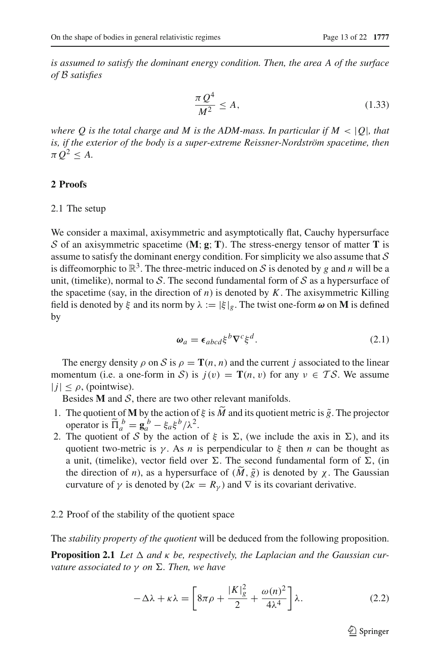*is assumed to satisfy the dominant energy condition. Then, the area A of the surface of* B *satisfies*

<span id="page-12-3"></span>
$$
\frac{\pi Q^4}{M^2} \le A,\tag{1.33}
$$

*where Q is the total charge and M is the ADM-mass. In particular if*  $M < |Q|$ *, that is, if the exterior of the body is a super-extreme Reissner-Nordström spacetime, then*  $\pi Q^2 < A$ .

#### **2 Proofs**

#### 2.1 The setup

We consider a maximal, axisymmetric and asymptotically flat, Cauchy hypersurface S of an axisymmetric spacetime  $(M; g; T)$ . The stress-energy tensor of matter **T** is assume to satisfy the dominant energy condition. For simplicity we also assume that  $S$ is diffeomorphic to  $\mathbb{R}^3$ . The three-metric induced on S is denoted by g and n will be a unit, (timelike), normal to  $S$ . The second fundamental form of  $S$  as a hypersurface of the spacetime (say, in the direction of *n*) is denoted by *K*. The axisymmetric Killing field is denoted by  $\xi$  and its norm by  $\lambda := |\xi|_g$ . The twist one-form  $\omega$  on **M** is defined by

$$
\omega_a = \epsilon_{abcd} \xi^b \nabla^c \xi^d. \tag{2.1}
$$

The energy density  $\rho$  on S is  $\rho = \mathbf{T}(n, n)$  and the current *j* associated to the linear momentum (i.e. a one-form in S) is  $j(v) = T(n, v)$  for any  $v \in TS$ . We assume  $|j| < \rho$ , (pointwise).

Besides  $M$  and  $S$ , there are two other relevant manifolds.

- 1. The quotient of **M** by the action of  $\xi$  is  $\tilde{M}$  and its quotient metric is  $\tilde{g}$ . The projector operator is  $\tilde{\Pi}_a^b = \mathbf{g}_a^b - \xi_a \xi^b / \lambda^2$ .
- 2. The quotient of S by the action of  $\xi$  is  $\Sigma$ , (we include the axis in  $\Sigma$ ), and its quotient two-metric is  $\gamma$ . As *n* is perpendicular to  $\xi$  then *n* can be thought as a unit, (timelike), vector field over  $\Sigma$ . The second fundamental form of  $\Sigma$ , (in the direction of *n*), as a hypersurface of  $(M, \tilde{g})$  is denoted by  $\chi$ . The Gaussian curvature of  $\gamma$  is denoted by ( $2\kappa = R_{\gamma}$ ) and  $\nabla$  is its covariant derivative.

#### <span id="page-12-0"></span>2.2 Proof of the stability of the quotient space

<span id="page-12-2"></span>The *stability property of the quotient* will be deduced from the following proposition.

<span id="page-12-1"></span>**Proposition 2.1** Let  $\Delta$  and  $\kappa$  be, respectively, the Laplacian and the Gaussian cur*vature associated to γ on*  $\Sigma$ *. Then, we have* 

$$
-\Delta\lambda + \kappa\lambda = \left[8\pi\rho + \frac{|K|_g^2}{2} + \frac{\omega(n)^2}{4\lambda^4}\right]\lambda.
$$
 (2.2)

 $\mathcal{D}$  Springer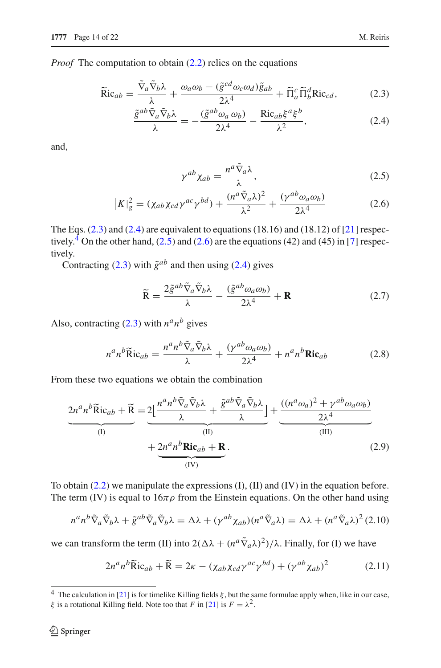<span id="page-13-0"></span>*Proof* The computation to obtain  $(2.2)$  relies on the equations

$$
\widetilde{\text{Ric}}_{ab} = \frac{\widetilde{\nabla}_a \widetilde{\nabla}_b \lambda}{\lambda} + \frac{\omega_a \omega_b - (\widetilde{g}^{cd} \omega_c \omega_d) \widetilde{g}_{ab}}{2\lambda^4} + \widetilde{\Pi}_a^c \widetilde{\Pi}_b^d \text{Ric}_{cd},\tag{2.3}
$$

$$
\frac{\tilde{g}^{ab}\tilde{\nabla}_a\tilde{\nabla}_b\lambda}{\lambda} = -\frac{(\tilde{g}^{ab}\omega_a\,\omega_b)}{2\lambda^4} - \frac{\text{Ric}_{ab}\xi^a\xi^b}{\lambda^2},\tag{2.4}
$$

<span id="page-13-2"></span>and,

$$
\gamma^{ab}\chi_{ab} = \frac{n^a \tilde{\nabla}_a \lambda}{\lambda},\tag{2.5}
$$

$$
|K|_{g}^{2} = (\chi_{ab}\chi_{cd}\gamma^{ac}\gamma^{bd}) + \frac{(n^{a}\tilde{\nabla}_{a}\lambda)^{2}}{\lambda^{2}} + \frac{(\gamma^{ab}\omega_{a}\omega_{b})}{2\lambda^{4}}
$$
(2.6)

The Eqs.  $(2.3)$  and  $(2.4)$  are equivalent to equations  $(18.16)$  and  $(18.12)$  of  $[21]$  $[21]$  respec-tively.<sup>[4](#page-13-1)</sup> On the other hand,  $(2.5)$  and  $(2.6)$  are the equations  $(42)$  and  $(45)$  in [\[7](#page-21-20)] respectively.

Contracting  $(2.3)$  with  $\tilde{g}^{ab}$  and then using  $(2.4)$  gives

$$
\widetilde{\mathbf{R}} = \frac{2\tilde{g}^{ab}\tilde{\nabla}_a\tilde{\nabla}_b\lambda}{\lambda} - \frac{(\tilde{g}^{ab}\omega_a\omega_b)}{2\lambda^4} + \mathbf{R}
$$
\n(2.7)

Also, contracting  $(2.3)$  with  $n^a n^b$  gives

<span id="page-13-3"></span>
$$
n^a n^b \widetilde{\text{R}} \text{ic}_{ab} = \frac{n^a n^b \widetilde{\nabla}_a \widetilde{\nabla}_b \lambda}{\lambda} + \frac{(\gamma^{ab} \omega_a \omega_b)}{2\lambda^4} + n^a n^b \text{Ric}_{ab}
$$
(2.8)

From these two equations we obtain the combination

$$
\underbrace{2n^a n^b \widetilde{\text{R}}ic_{ab} + \widetilde{\text{R}}}_{\text{(I)}} = \underbrace{2\left[\frac{n^a n^b \widetilde{\nabla}_a \widetilde{\nabla}_b \lambda}{\lambda} + \frac{\widetilde{g}^{ab} \widetilde{\nabla}_a \widetilde{\nabla}_b \lambda}{\lambda}\right]}_{\text{(II)}} + \underbrace{2n^a n^b \text{Ric}_{ab} + \text{R}}_{\text{(IV)}}.
$$
\n(2.9)

To obtain [\(2.2\)](#page-12-1) we manipulate the expressions (I), (II) and (IV) in the equation before. The term (IV) is equal to  $16\pi\rho$  from the Einstein equations. On the other hand using

$$
n^a n^b \tilde{\nabla}_a \tilde{\nabla}_b \lambda + \tilde{g}^{ab} \tilde{\nabla}_a \tilde{\nabla}_b \lambda = \Delta \lambda + (\gamma^{ab} \chi_{ab})(n^a \tilde{\nabla}_a \lambda) = \Delta \lambda + (n^a \tilde{\nabla}_a \lambda)^2 (2.10)
$$

we can transform the term (II) into  $2(\Delta\lambda + (n^a \tilde{\nabla}_a \lambda)^2)/\lambda$ . Finally, for (I) we have

$$
2n^{a}n^{b}\widetilde{R}ic_{ab} + \widetilde{R} = 2\kappa - (\chi_{ab}\chi_{cd}\gamma^{ac}\gamma^{bd}) + (\gamma^{ab}\chi_{ab})^{2}
$$
 (2.11)

<span id="page-13-1"></span><sup>&</sup>lt;sup>4</sup> The calculation in [\[21\]](#page-21-19) is for timelike Killing fields  $\xi$ , but the same formulae apply when, like in our case,  $\xi$  is a rotational Killing field. Note too that *F* in [\[21\]](#page-21-19) is  $F = \lambda^2$ .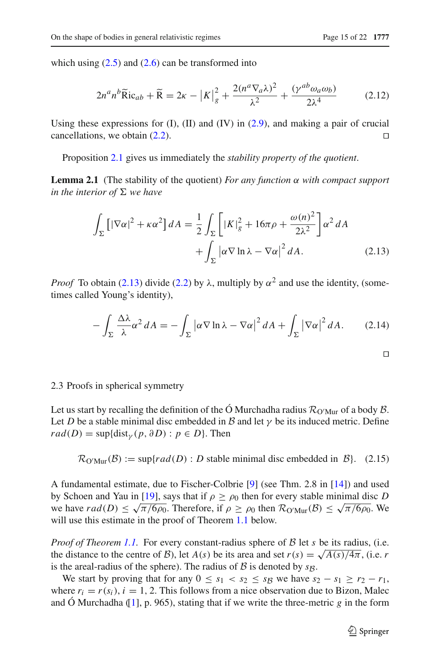which using  $(2.5)$  and  $(2.6)$  can be transformed into

$$
2n^a n^b \widetilde{\text{R}} \text{ic}_{ab} + \widetilde{\text{R}} = 2\kappa - |K|_g^2 + \frac{2(n^a \nabla_a \lambda)^2}{\lambda^2} + \frac{(\gamma^{ab} \omega_a \omega_b)}{2\lambda^4} \tag{2.12}
$$

Using these expressions for  $(I)$ ,  $(II)$  and  $(IV)$  in  $(2.9)$ , and making a pair of crucial cancellations, we obtain  $(2.2)$ . □

Proposition [2.1](#page-12-2) gives us immediately the *stability property of the quotient*.

<span id="page-14-1"></span>**Lemma 2.1** (The stability of the quotient) *For any function*  $\alpha$  *with compact support in the interior of*  $\Sigma$  *we have* 

$$
\int_{\Sigma} \left[ |\nabla \alpha|^2 + \kappa \alpha^2 \right] dA = \frac{1}{2} \int_{\Sigma} \left[ |K|_g^2 + 16\pi \rho + \frac{\omega(n)^2}{2\lambda^2} \right] \alpha^2 dA
$$

$$
+ \int_{\Sigma} |\alpha \nabla \ln \lambda - \nabla \alpha|^2 dA. \tag{2.13}
$$

*Proof* To obtain [\(2.13\)](#page-14-1) divide [\(2.2\)](#page-12-1) by  $\lambda$ , multiply by  $\alpha^2$  and use the identity, (sometimes called Young's identity),

$$
-\int_{\Sigma} \frac{\Delta\lambda}{\lambda} \alpha^2 dA = -\int_{\Sigma} |\alpha \nabla \ln \lambda - \nabla \alpha|^2 dA + \int_{\Sigma} |\nabla \alpha|^2 dA. \tag{2.14}
$$

⊓/

#### <span id="page-14-0"></span>2.3 Proofs in spherical symmetry

Let us start by recalling the definition of the Ó Murchadha radius  $\mathcal{R}_{\text{O'Mur}}$  of a body  $\beta$ . Let *D* be a stable minimal disc embedded in B and let  $\gamma$  be its induced metric. Define  $rad(D) = \sup\{\text{dist}_{\gamma}(p, \partial D) : p \in D\}.$  Then

$$
\mathcal{R}_{O'Mur}(\mathcal{B}) := \sup\{rad(D) : D \text{ stable minimal disc embedded in } \mathcal{B}\}. \tag{2.15}
$$

A fundamental estimate, due to Fischer-Colbrie [\[9\]](#page-21-10) (see Thm. 2.8 in [\[14\]](#page-21-11)) and used by Schoen and Yau in [\[19](#page-21-5)], says that if  $\rho \ge \rho_0$  then for every stable minimal disc *D* we have  $rad(D) \le \sqrt{\pi/6\rho_0}$ . Therefore, if  $\rho \ge \rho_0$  then  $\mathcal{R}_{\text{OMur}}(\mathcal{B}) \le \sqrt{\pi/6\rho_0}$ . We will use this estimate in the proof of Theorem [1.1](#page-3-2) below.

*Proof of Theorem [1.1.](#page-3-2)* For every constant-radius sphere of  $\beta$  let *s* be its radius, (i.e. the distance to the centre of *B*), let *A*(*s*) be its area and set  $r(s) = \sqrt{A(s)/4\pi}$ , (i.e. *r*) is the areal-radius of the sphere). The radius of  $\beta$  is denoted by  $s_{\beta}$ .

We start by proving that for any  $0 \le s_1 < s_2 \le s_2$  we have  $s_2 - s_1 \ge r_2 - r_1$ , where  $r_i = r(s_i)$ ,  $i = 1, 2$ . This follows from a nice observation due to Bizon, Malec and Ó Murchadha ([\[1\]](#page-21-4), p. 965), stating that if we write the three-metric *g* in the form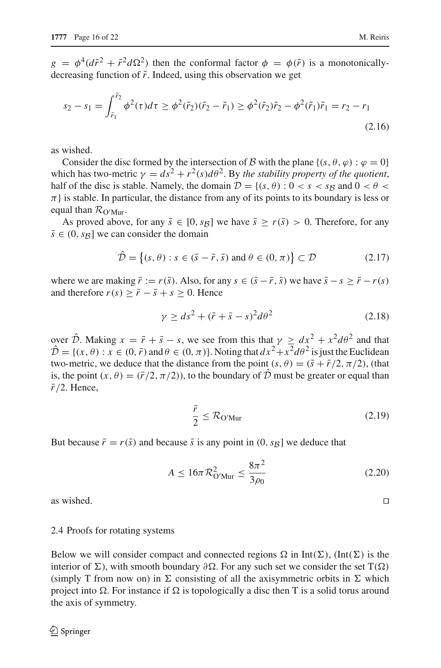$g = \phi^4(d\tilde{r}^2 + \tilde{r}^2d\Omega^2)$  then the conformal factor  $\phi = \phi(\tilde{r})$  is a monotonicallydecreasing function of  $\tilde{r}$ . Indeed, using this observation we get

$$
s_2 - s_1 = \int_{\tilde{r}_1}^{\tilde{r}_2} \phi^2(\tau) d\tau \ge \phi^2(\tilde{r}_2)(\tilde{r}_2 - \tilde{r}_1) \ge \phi^2(\tilde{r}_2)\tilde{r}_2 - \phi^2(\tilde{r}_1)\tilde{r}_1 = r_2 - r_1
$$
\n(2.16)

as wished.

Consider the disc formed by the intersection of B with the plane  $\{(s, \theta, \varphi) : \varphi = 0\}$ which has two-metric  $\gamma = ds^2 + r^2(s)d\theta^2$ . By the stability property of the quotient, half of the disc is stable. Namely, the domain  $\mathcal{D} = \{(s, \theta) : 0 < s < s_B \text{ and } 0 < \theta <$  $\pi$ } is stable. In particular, the distance from any of its points to its boundary is less or equal than  $\mathcal{R}_{\text{O'Mur}}$ .

As proved above, for any  $\bar{s} \in [0, s_B]$  we have  $\bar{s} \ge r(\bar{s}) > 0$ . Therefore, for any  $\bar{s} \in (0, s_B]$  we can consider the domain

$$
\hat{\mathcal{D}} = \left\{ (s, \theta) : s \in (\bar{s} - \bar{r}, \bar{s}) \text{ and } \theta \in (0, \pi) \right\} \subset \mathcal{D}
$$
\n(2.17)

where we are making  $\bar{r} := r(\bar{s})$ . Also, for any  $s \in (\bar{s} - \bar{r}, \bar{s})$  we have  $\bar{s} - s \geq \bar{r} - r(s)$ and therefore  $r(s) \geq \bar{r} - \bar{s} + s \geq 0$ . Hence

$$
\gamma \ge ds^2 + (\bar{r} + \bar{s} - s)^2 d\theta^2 \tag{2.18}
$$

over  $\hat{\mathcal{D}}$ . Making  $x = \bar{r} + \bar{s} - s$ , we see from this that  $\gamma > dx^2 + x^2 d\theta^2$  and that  $\hat{\mathcal{D}} = \{(x, \theta) : x \in (0, \bar{r}) \text{ and } \theta \in (0, \pi)\}\.$  Noting that  $dx^2 + x^2 d\theta^2$  is just the Euclidean two-metric, we deduce that the distance from the point  $(s, \theta) = (\bar{s} + \bar{r}/2, \pi/2)$ , (that is, the point  $(x, \theta) = (\bar{r}/2, \pi/2)$ , to the boundary of  $\hat{D}$  must be greater or equal than  $\bar{r}/2$ . Hence,

$$
\frac{\bar{r}}{2} \le \mathcal{R}_{\text{O'Mur}} \tag{2.19}
$$

But because  $\bar{r} = r(\bar{s})$  and because  $\bar{s}$  is any point in  $(0, s_B]$  we deduce that

$$
A \le 16\pi \mathcal{R}_{\text{O'Mur}}^2 \le \frac{8\pi^2}{3\rho_0} \tag{2.20}
$$

as wished.  $□$ 

#### 2.4 Proofs for rotating systems

Below we will consider compact and connected regions  $\Omega$  in Int( $\Sigma$ ), (Int( $\Sigma$ ) is the interior of Σ), with smooth boundary  $\partial \Omega$ . For any such set we consider the set T( $\Omega$ ) (simply T from now on) in  $\Sigma$  consisting of all the axisymmetric orbits in  $\Sigma$  which project into  $\Omega$ . For instance if  $\Omega$  is topologically a disc then T is a solid torus around the axis of symmetry.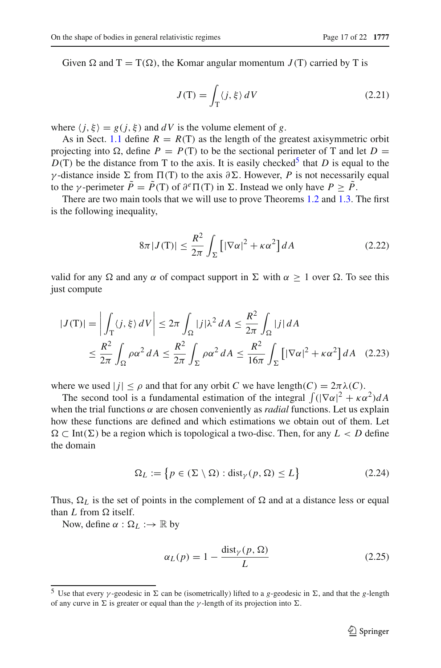Given  $\Omega$  and  $T = T(\Omega)$ , the Komar angular momentum  $J(T)$  carried by T is

$$
J(\mathbf{T}) = \int_{\mathbf{T}} \langle j, \xi \rangle \, dV \tag{2.21}
$$

where  $\langle j, \xi \rangle = g(j, \xi)$  and dV is the volume element of g.

As in Sect. [1.1](#page-3-3) define  $R = R(T)$  as the length of the greatest axisymmetric orbit projecting into  $\Omega$ , define  $P = P(T)$  to be the sectional perimeter of T and let  $D =$  $D(T)$  be the distance from T to the axis. It is easily checked<sup>5</sup> that *D* is equal to the γ-distance inside  $\Sigma$  from  $\Pi(T)$  to the axis  $\partial \Sigma$ . However, *P* is not necessarily equal to the *γ*-perimeter  $\tilde{P} = \tilde{P}(T)$  of  $\partial^e \Pi(T)$  in  $\Sigma$ . Instead we only have  $P > \tilde{P}$ .

There are two main tools that we will use to prove Theorems [1.2](#page-5-2) and [1.3.](#page-6-2) The first is the following inequality,

$$
8\pi |J(\mathbf{T})| \le \frac{R^2}{2\pi} \int_{\Sigma} \left[ |\nabla \alpha|^2 + \kappa \alpha^2 \right] dA \tag{2.22}
$$

<span id="page-16-1"></span>valid for any  $\Omega$  and any  $\alpha$  of compact support in  $\Sigma$  with  $\alpha > 1$  over  $\Omega$ . To see this just compute

$$
|J(\mathbf{T})| = \left| \int_{\mathbf{T}} \langle j, \xi \rangle \, dV \right| \le 2\pi \int_{\Omega} |j| \lambda^2 \, dA \le \frac{R^2}{2\pi} \int_{\Omega} |j| \, dA
$$
  

$$
\le \frac{R^2}{2\pi} \int_{\Omega} \rho \alpha^2 \, dA \le \frac{R^2}{2\pi} \int_{\Sigma} \rho \alpha^2 \, dA \le \frac{R^2}{16\pi} \int_{\Sigma} \left[ |\nabla \alpha|^2 + \kappa \alpha^2 \right] dA \quad (2.23)
$$

where we used  $|j| \le \rho$  and that for any orbit *C* we have length(*C*) =  $2\pi \lambda$ (*C*).

The second tool is a fundamental estimation of the integral  $\int (|\nabla \alpha|^2 + \kappa \alpha^2) dA$ when the trial functions  $\alpha$  are chosen conveniently as *radial* functions. Let us explain how these functions are defined and which estimations we obtain out of them. Let  $Ω ⊂ Int(Σ)$  be a region which is topological a two-disc. Then, for any  $L < D$  define the domain

$$
\Omega_L := \left\{ p \in (\Sigma \setminus \Omega) : \text{dist}_{\gamma}(p, \Omega) \le L \right\} \tag{2.24}
$$

Thus,  $\Omega_L$  is the set of points in the complement of  $\Omega$  and at a distance less or equal than  $L$  from  $\Omega$  itself.

Now, define  $\alpha : \Omega_L : \to \mathbb{R}$  by

$$
\alpha_L(p) = 1 - \frac{\text{dist}_\gamma(p, \Omega)}{L} \tag{2.25}
$$

<span id="page-16-0"></span><sup>&</sup>lt;sup>5</sup> Use that every *γ*-geodesic in  $\Sigma$  can be (isometrically) lifted to a *g*-geodesic in  $\Sigma$ , and that the *g*-length of any curve in  $\Sigma$  is greater or equal than the *γ*-length of its projection into  $\Sigma$ .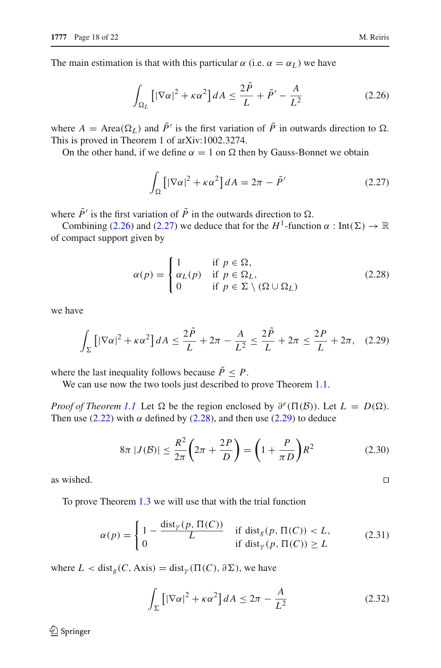<span id="page-17-0"></span>The main estimation is that with this particular  $\alpha$  (i.e.  $\alpha = \alpha_L$ ) we have

$$
\int_{\Omega_L} \left[ |\nabla \alpha|^2 + \kappa \alpha^2 \right] dA \le \frac{2\tilde{P}}{L} + \tilde{P}' - \frac{A}{L^2} \tag{2.26}
$$

where  $A = \text{Area}(\Omega_L)$  and  $\tilde{P}'$  is the first variation of  $\tilde{P}$  in outwards direction to  $\Omega$ . This is proved in Theorem 1 of arXiv:1002.3274.

<span id="page-17-1"></span>On the other hand, if we define  $\alpha = 1$  on  $\Omega$  then by Gauss-Bonnet we obtain

$$
\int_{\Omega} \left[ |\nabla \alpha|^2 + \kappa \alpha^2 \right] dA = 2\pi - \tilde{P}' \tag{2.27}
$$

where  $\tilde{P}'$  is the first variation of  $\tilde{P}$  in the outwards direction to  $\Omega$ .

Combining [\(2.26\)](#page-17-0) and [\(2.27\)](#page-17-1) we deduce that for the  $H^1$ -function  $\alpha : \text{Int}(\Sigma) \to \mathbb{R}$ of compact support given by

$$
\alpha(p) = \begin{cases} 1 & \text{if } p \in \Omega, \\ \alpha_L(p) & \text{if } p \in \Omega_L, \\ 0 & \text{if } p \in \Sigma \setminus (\Omega \cup \Omega_L) \end{cases}
$$
(2.28)

<span id="page-17-3"></span><span id="page-17-2"></span>we have

$$
\int_{\Sigma} \left[ |\nabla \alpha|^2 + \kappa \alpha^2 \right] dA \le \frac{2\tilde{P}}{L} + 2\pi - \frac{A}{L^2} \le \frac{2\tilde{P}}{L} + 2\pi \le \frac{2P}{L} + 2\pi, \quad (2.29)
$$

where the last inequality follows because  $\tilde{P} \leq P$ .

We can use now the two tools just described to prove Theorem [1.1.](#page-3-2)

*Proof of Theorem [1.1](#page-3-2)* Let  $\Omega$  be the region enclosed by  $\partial^e(\Pi(\mathcal{B}))$ . Let  $L = D(\Omega)$ . Then use [\(2.22\)](#page-16-1) with  $\alpha$  defined by [\(2.28\)](#page-17-2), and then use [\(2.29\)](#page-17-3) to deduce

$$
8\pi |J(\mathcal{B})| \le \frac{R^2}{2\pi} \left(2\pi + \frac{2P}{D}\right) = \left(1 + \frac{P}{\pi D}\right) R^2 \tag{2.30}
$$

as wished.  $□$ 

To prove Theorem [1.3](#page-6-2) we will use that with the trial function

$$
\alpha(p) = \begin{cases} 1 - \frac{\text{dist}_{\gamma}(p, \Pi(C))}{L} & \text{if } \text{dist}_{g}(p, \Pi(C)) < L, \\ 0 & \text{if } \text{dist}_{\gamma}(p, \Pi(C)) \ge L \end{cases}
$$
(2.31)

<span id="page-17-5"></span><span id="page-17-4"></span>where  $L < \text{dist}_{g}(C, \text{Axis}) = \text{dist}_{\gamma}(\Pi(C), \partial \Sigma)$ , we have

$$
\int_{\Sigma} \left[ |\nabla \alpha|^2 + \kappa \alpha^2 \right] dA \le 2\pi - \frac{A}{L^2} \tag{2.32}
$$

 $\bigcircled{2}$  Springer

$$
\Box
$$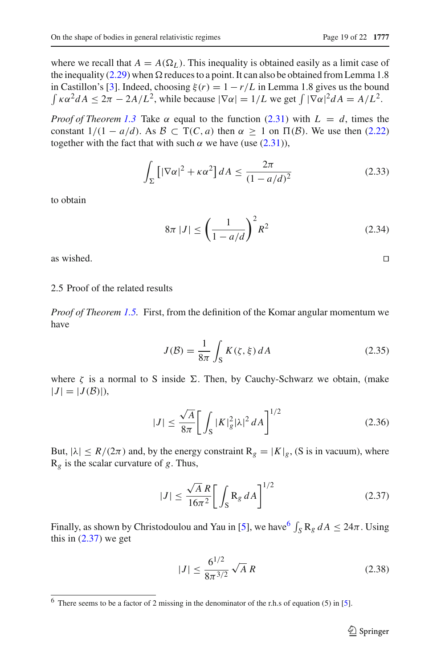where we recall that  $A = A(\Omega_L)$ . This inequality is obtained easily as a limit case of the inequality [\(2.29\)](#page-17-3) when  $\Omega$  reduces to a point. It can also be obtained from Lemma 1.8 in Castillon's [\[3\]](#page-21-16). Indeed, choosing  $\xi(r) = 1 - r/L$  in Lemma 1.8 gives us the bound  $\int \kappa \alpha^2 dA \leq 2\pi - 2A/L^2$ , while because  $|\nabla \alpha| = 1/L$  we get  $\int |\nabla \alpha|^2 dA = A/L^2$ .

*Proof of Theorem [1.3](#page-6-2)* Take  $\alpha$  equal to the function [\(2.31\)](#page-17-4) with  $L = d$ , times the constant  $1/(1 - a/d)$ . As  $\mathcal{B} \subset T(C, a)$  then  $\alpha \geq 1$  on  $\Pi(\mathcal{B})$ . We use then [\(2.22\)](#page-16-1) together with the fact that with such  $\alpha$  we have (use [\(2.31\)](#page-17-4)),

$$
\int_{\Sigma} \left[ |\nabla \alpha|^2 + \kappa \alpha^2 \right] dA \le \frac{2\pi}{(1 - a/d)^2} \tag{2.33}
$$

to obtain

$$
8\pi |J| \le \left(\frac{1}{1 - a/d}\right)^2 R^2
$$
 (2.34)

as wished.  $□$ 

## 2.5 Proof of the related results

*Proof of Theorem [1.5.](#page-11-2)* First, from the definition of the Komar angular momentum we have

$$
J(\mathcal{B}) = \frac{1}{8\pi} \int_{\mathcal{S}} K(\zeta, \xi) dA \tag{2.35}
$$

where  $\zeta$  is a normal to S inside  $\Sigma$ . Then, by Cauchy-Schwarz we obtain, (make  $|J| = |J(\mathcal{B})|$ ,

$$
|J| \le \frac{\sqrt{A}}{8\pi} \bigg[ \int_{S} |K|_{g}^{2} |\lambda|^{2} dA \bigg]^{1/2} \tag{2.36}
$$

But,  $|\lambda| \le R/(2\pi)$  and, by the energy constraint  $R_g = |K|_g$ , (S is in vacuum), where R*<sup>g</sup>* is the scalar curvature of *g*. Thus,

$$
|J| \le \frac{\sqrt{A} R}{16\pi^2} \bigg[ \int_S R_g dA \bigg]^{1/2} \tag{2.37}
$$

<span id="page-18-1"></span>Finally, as shown by Christodoulou and Yau in [\[5\]](#page-21-21), we have  $\int_{S} R_g dA \leq 24\pi$ . Using this in  $(2.37)$  we get

$$
|J| \le \frac{6^{1/2}}{8\pi^{3/2}} \sqrt{A} R
$$
 (2.38)

<span id="page-18-0"></span><sup>6</sup> There seems to be a factor of 2 missing in the denominator of the r.h.s of equation (5) in [\[5](#page-21-21)].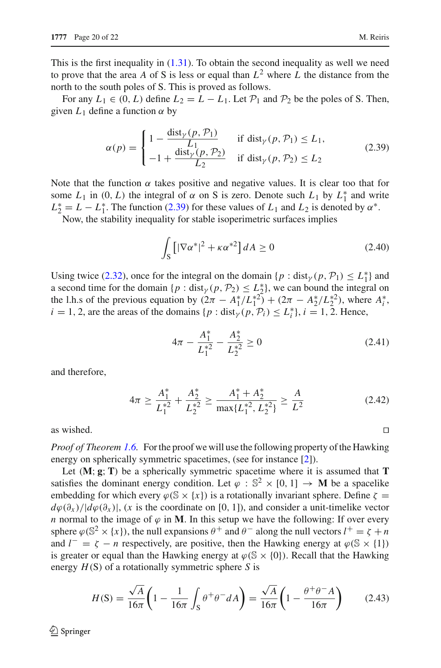This is the first inequality in  $(1.31)$ . To obtain the second inequality as well we need to prove that the area A of S is less or equal than  $L^2$  where L the distance from the north to the south poles of S. This is proved as follows.

For any  $L_1 \in (0, L)$  define  $L_2 = L - L_1$ . Let  $\mathcal{P}_1$  and  $\mathcal{P}_2$  be the poles of S. Then, given  $L_1$  define a function  $\alpha$  by

$$
\alpha(p) = \begin{cases}\n1 - \frac{\text{dist}_{\gamma}(p, \mathcal{P}_1)}{L_1} & \text{if } \text{dist}_{\gamma}(p, \mathcal{P}_1) \le L_1, \\
-1 + \frac{\text{dist}_{\gamma}(p, \mathcal{P}_2)}{L_2} & \text{if } \text{dist}_{\gamma}(p, \mathcal{P}_2) \le L_2\n\end{cases}
$$
\n(2.39)

<span id="page-19-0"></span>Note that the function  $\alpha$  takes positive and negative values. It is clear too that for some  $L_1$  in  $(0, L)$  the integral of  $\alpha$  on S is zero. Denote such  $L_1$  by  $L_1^*$  and write  $L_2^* = L - L_1^*$ . The function [\(2.39\)](#page-19-0) for these values of  $L_1$  and  $L_2$  is denoted by  $\alpha^*$ .

Now, the stability inequality for stable isoperimetric surfaces implies

$$
\int_{\mathcal{S}} \left[ |\nabla \alpha^*|^2 + \kappa \alpha^{*2} \right] dA \ge 0 \tag{2.40}
$$

Using twice [\(2.32\)](#page-17-5), once for the integral on the domain  $\{p : \text{dist}_{\gamma}(p, \mathcal{P}_1) \le L_1^*\}$  and a second time for the domain  $\{p : \text{dist}_{\gamma}(p, \mathcal{P}_2) \leq L_2^*\}$ , we can bound the integral on the l.h.s of the previous equation by  $(2\pi - A_1^*/L_1^{*2}) + (2\pi - A_2^*/L_2^{*2})$ , where  $A_i^*$ ,  $i = 1, 2$ , are the areas of the domains  $\{p : \text{dist}_{\gamma}(p, \mathcal{P}_i) \le L_i^*\}, i = 1, 2$ . Hence,

$$
4\pi - \frac{A_1^*}{L_1^{*2}} - \frac{A_2^*}{L_2^{*2}} \ge 0
$$
\n(2.41)

and therefore,

$$
4\pi \ge \frac{A_1^*}{L_1^{*2}} + \frac{A_2^*}{L_2^{*2}} \ge \frac{A_1^* + A_2^*}{\max\{L_1^{*2}, L_2^{*2}\}} \ge \frac{A}{L^2}
$$
\n(2.42)

as wished.  $□$ 

*Proof of Theorem [1.6.](#page-11-4)* For the proof we will use the following property of the Hawking energy on spherically symmetric spacetimes, (see for instance [\[2](#page-21-22)]).

Let (**M**; **g**;**T**) be a spherically symmetric spacetime where it is assumed that **T** satisfies the dominant energy condition. Let  $\varphi : \mathbb{S}^2 \times [0, 1] \to \mathbf{M}$  be a spacelike embedding for which every  $\varphi(\mathbb{S} \times \{x\})$  is a rotationally invariant sphere. Define  $\zeta =$  $d\varphi(\partial_x)/|d\varphi(\partial_x)|$ , (*x* is the coordinate on [0, 1]), and consider a unit-timelike vector *n* normal to the image of  $\varphi$  in **M**. In this setup we have the following: If over every sphere  $\varphi$ ( $\mathbb{S}^2 \times \{x\}$ ), the null expansions  $\theta^+$  and  $\theta^-$  along the null vectors  $l^+ = \zeta + n$ and  $l^- = \zeta - n$  respectively, are positive, then the Hawking energy at  $\varphi(\mathbb{S} \times \{1\})$ is greater or equal than the Hawking energy at  $\varphi(\mathbb{S} \times \{0\})$ . Recall that the Hawking energy *H*(S) of a rotationally symmetric sphere *S* is

$$
H(S) = \frac{\sqrt{A}}{16\pi} \left( 1 - \frac{1}{16\pi} \int_S \theta^+ \theta^- dA \right) = \frac{\sqrt{A}}{16\pi} \left( 1 - \frac{\theta^+ \theta^- A}{16\pi} \right) \tag{2.43}
$$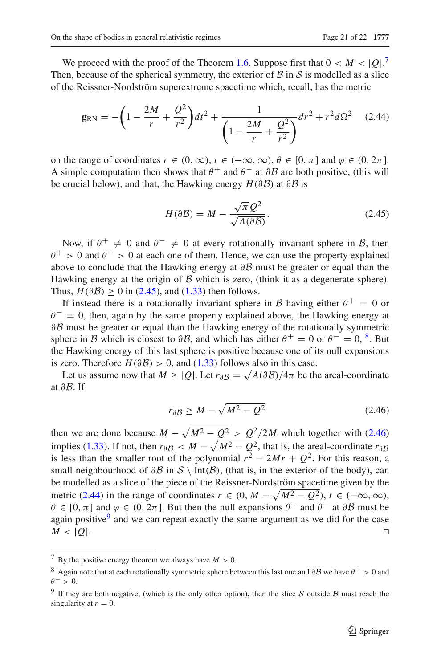We proceed with the proof of the Theorem [1.6.](#page-11-4) Suppose first that  $0 < M < |Q|$ .<sup>[7](#page-20-0)</sup> Then, because of the spherical symmetry, the exterior of  $\beta$  in  $\beta$  is modelled as a slice of the Reissner-Nordström superextreme spacetime which, recall, has the metric

$$
\mathbf{g}_{\rm RN} = -\left(1 - \frac{2M}{r} + \frac{Q^2}{r^2}\right)dt^2 + \frac{1}{\left(1 - \frac{2M}{r} + \frac{Q^2}{r^2}\right)}dr^2 + r^2d\Omega^2 \tag{2.44}
$$

<span id="page-20-4"></span>on the range of coordinates  $r \in (0, \infty)$ ,  $t \in (-\infty, \infty)$ ,  $\theta \in [0, \pi]$  and  $\varphi \in (0, 2\pi]$ . A simple computation then shows that  $\theta^+$  and  $\theta^-$  at  $\partial \mathcal{B}$  are both positive, (this will be crucial below), and that, the Hawking energy *H*(∂B) at ∂B is

$$
H(\partial \mathcal{B}) = M - \frac{\sqrt{\pi} \mathcal{Q}^2}{\sqrt{A(\partial \mathcal{B})}}.
$$
 (2.45)

<span id="page-20-1"></span>Now, if  $\theta^+ \neq 0$  and  $\theta^- \neq 0$  at every rotationally invariant sphere in B, then  $\theta^+ > 0$  and  $\theta^- > 0$  at each one of them. Hence, we can use the property explained above to conclude that the Hawking energy at  $\partial \mathcal{B}$  must be greater or equal than the Hawking energy at the origin of  $\beta$  which is zero, (think it as a degenerate sphere). Thus,  $H(\partial \mathcal{B}) \ge 0$  in [\(2.45\)](#page-20-1), and [\(1.33\)](#page-12-3) then follows.

If instead there is a rotationally invariant sphere in B having either  $\theta^+ = 0$  or  $\theta$ <sup>-</sup> = 0, then, again by the same property explained above, the Hawking energy at ∂B must be greater or equal than the Hawking energy of the rotationally symmetric sphere in B which is closest to  $\partial B$ , and which has either  $\theta^+ = 0$  or  $\theta^- = 0$ ,  $\frac{8}{3}$  $\frac{8}{3}$  $\frac{8}{3}$ . But the Hawking energy of this last sphere is positive because one of its null expansions is zero. Therefore  $H(\partial \mathcal{B}) > 0$ , and [\(1.33\)](#page-12-3) follows also in this case.

Let us assume now that  $M > |Q|$ . Let  $r_{\partial B} = \sqrt{A(\partial B)/4\pi}$  be the areal-coordinate at ∂B. If

$$
r_{\partial}B \ge M - \sqrt{M^2 - Q^2} \tag{2.46}
$$

<span id="page-20-3"></span>then we are done because  $M - \sqrt{M^2 - Q^2} > Q^2/2M$  which together with [\(2.46\)](#page-20-3) implies [\(1.33\)](#page-12-3). If not, then  $r_{\partial B} < M - \sqrt{M^2 - Q^2}$ , that is, the areal-coordinate  $r_{\partial B}$ is less than the smaller root of the polynomial  $r^2 - 2Mr + Q^2$ . For this reason, a small neighbourhood of  $\partial \mathcal{B}$  in  $\mathcal{S} \setminus \text{Int}(\mathcal{B})$ , (that is, in the exterior of the body), can be modelled as a slice of the piece of the Reissner-Nordström spacetime given by the metric [\(2.44\)](#page-20-4) in the range of coordinates  $r \in (0, M - \sqrt{M^2 - Q^2})$ ,  $t \in (-\infty, \infty)$ ,  $\theta \in [0, \pi]$  and  $\varphi \in (0, 2\pi]$ . But then the null expansions  $\theta^+$  and  $\theta^-$  at  $\partial \mathcal{B}$  must be again positive $9$  and we can repeat exactly the same argument as we did for the case  $M$  < |*Q*|. □

<sup>&</sup>lt;sup>7</sup> By the positive energy theorem we always have  $M > 0$ .

<span id="page-20-2"></span><span id="page-20-0"></span><sup>&</sup>lt;sup>8</sup> Again note that at each rotationally symmetric sphere between this last one and ∂B we have  $\theta^+ > 0$  and  $\theta^- > 0$ .

<span id="page-20-5"></span><sup>&</sup>lt;sup>9</sup> If they are both negative, (which is the only other option), then the slice S outside B must reach the singularity at  $r = 0$ .